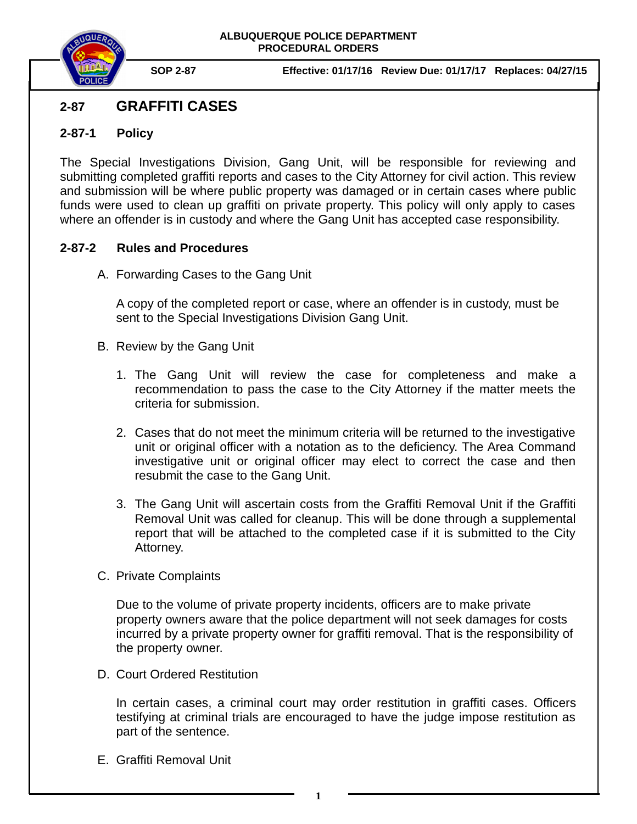

**SOP 2-87 Effective: 01/17/16 Review Due: 01/17/17 Replaces: 04/27/15** 

## **2-87 GRAFFITI CASES**

## **2-87-1 Policy**

The Special Investigations Division, Gang Unit, will be responsible for reviewing and submitting completed graffiti reports and cases to the City Attorney for civil action. This review and submission will be where public property was damaged or in certain cases where public funds were used to clean up graffiti on private property. This policy will only apply to cases where an offender is in custody and where the Gang Unit has accepted case responsibility.

## **2-87-2 Rules and Procedures**

A. Forwarding Cases to the Gang Unit

A copy of the completed report or case, where an offender is in custody, must be sent to the Special Investigations Division Gang Unit.

- B. Review by the Gang Unit
	- 1. The Gang Unit will review the case for completeness and make a recommendation to pass the case to the City Attorney if the matter meets the criteria for submission.
	- 2. Cases that do not meet the minimum criteria will be returned to the investigative unit or original officer with a notation as to the deficiency. The Area Command investigative unit or original officer may elect to correct the case and then resubmit the case to the Gang Unit.
	- 3. The Gang Unit will ascertain costs from the Graffiti Removal Unit if the Graffiti Removal Unit was called for cleanup. This will be done through a supplemental report that will be attached to the completed case if it is submitted to the City Attorney.
- C. Private Complaints

Due to the volume of private property incidents, officers are to make private property owners aware that the police department will not seek damages for costs incurred by a private property owner for graffiti removal. That is the responsibility of the property owner.

D. Court Ordered Restitution

In certain cases, a criminal court may order restitution in graffiti cases. Officers testifying at criminal trials are encouraged to have the judge impose restitution as part of the sentence.

E. Graffiti Removal Unit